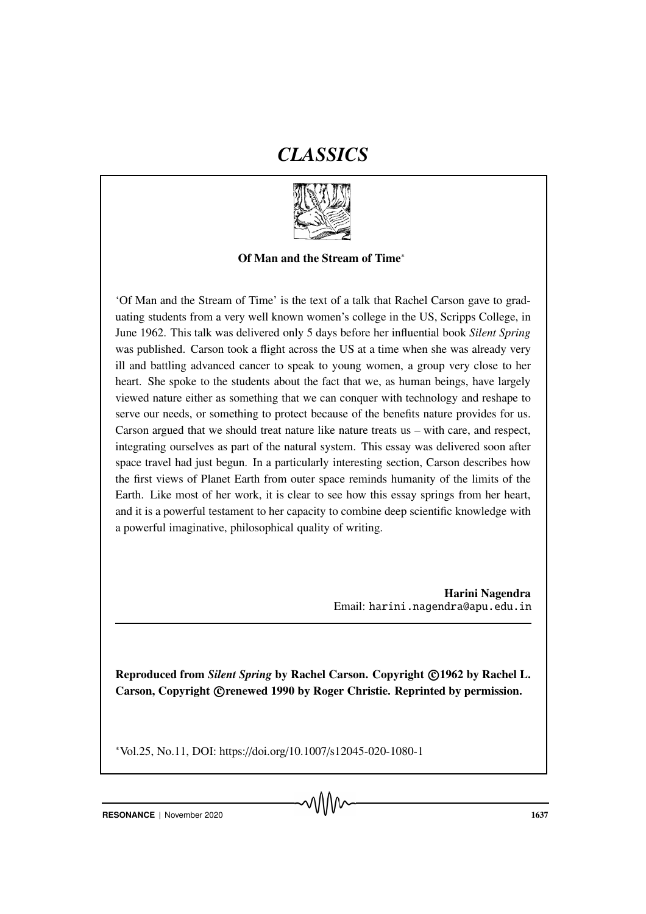

## Of Man and the Stream of Time<sup>∗</sup>

'Of Man and the Stream of Time' is the text of a talk that Rachel Carson gave to graduating students from a very well known women's college in the US, Scripps College, in June 1962. This talk was delivered only 5 days before her influential book *Silent Spring* was published. Carson took a flight across the US at a time when she was already very ill and battling advanced cancer to speak to young women, a group very close to her heart. She spoke to the students about the fact that we, as human beings, have largely viewed nature either as something that we can conquer with technology and reshape to serve our needs, or something to protect because of the benefits nature provides for us. Carson argued that we should treat nature like nature treats us – with care, and respect, integrating ourselves as part of the natural system. This essay was delivered soon after space travel had just begun. In a particularly interesting section, Carson describes how the first views of Planet Earth from outer space reminds humanity of the limits of the Earth. Like most of her work, it is clear to see how this essay springs from her heart, and it is a powerful testament to her capacity to combine deep scientific knowledge with a powerful imaginative, philosophical quality of writing.

> Harini Nagendra Email: harini.nagendra@apu.edu.in

Reproduced from *Silent Spring* by Rachel Carson. Copyright ©1962 by Rachel L. Carson, Copyright ©renewed 1990 by Roger Christie. Reprinted by permission.

<sup>∗</sup>Vol.25, No.11, DOI: https://doi.org/10.1007/s12045-020-1080-1

**RESONANCE** | November 2020 1637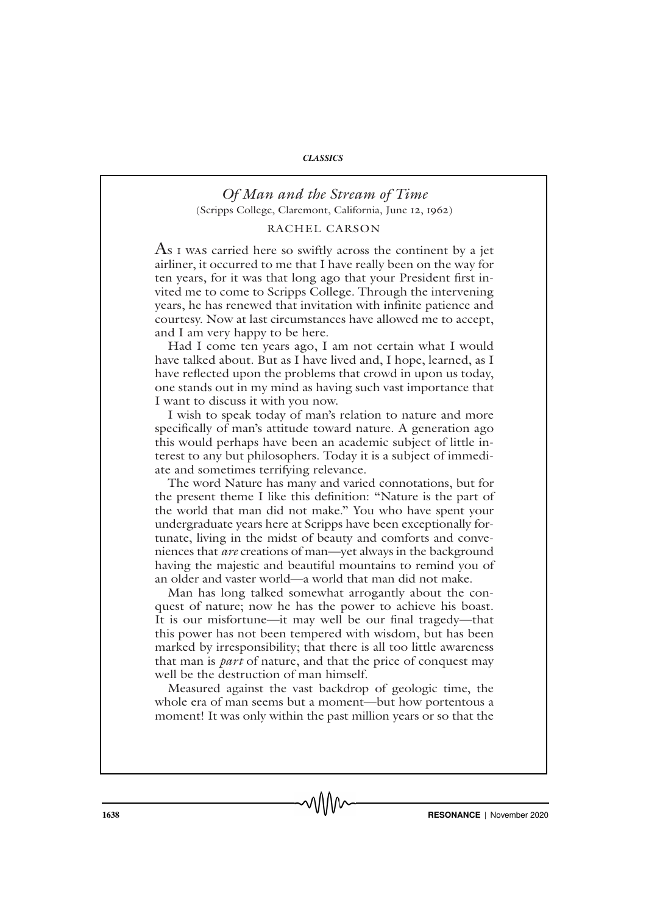*Of Man and the Stream of Time* (Scripps College, Claremont, California, June 12, 1962)

### RACHEL CARSON

As I was carried here so swiftly across the continent by a jet airliner, it occurred to me that I have really been on the way for ten years, for it was that long ago that your President first invited me to come to Scripps College. Through the intervening years, he has renewed that invitation with infinite patience and courtesy. Now at last circumstances have allowed me to accept, and I am very happy to be here.

Had I come ten years ago, I am not certain what I would have talked about. But as I have lived and, I hope, learned, as I have reflected upon the problems that crowd in upon us today, one stands out in my mind as having such vast importance that I want to discuss it with you now.

I wish to speak today of man's relation to nature and more specifically of man's attitude toward nature. A generation ago this would perhaps have been an academic subject of little interest to any but philosophers. Today it is a subject of immediate and sometimes terrifying relevance.

The word Nature has many and varied connotations, but for the present theme I like this definition: "Nature is the part of the world that man did not make." You who have spent your undergraduate years here at Scripps have been exceptionally fortunate, living in the midst of beauty and comforts and conveniences that *are* creations of man—yet always in the background having the majestic and beautiful mountains to remind you of an older and vaster world—a world that man did not make.

Man has long talked somewhat arrogantly about the conquest of nature; now he has the power to achieve his boast. It is our misfortune—it may well be our final tragedy—that this power has not been tempered with wisdom, but has been marked by irresponsibility; that there is all too little awareness that man is *part* of nature, and that the price of conquest may well be the destruction of man himself.

Measured against the vast backdrop of geologic time, the whole era of man seems but a moment—but how portentous a moment! It was only within the past million years or so that the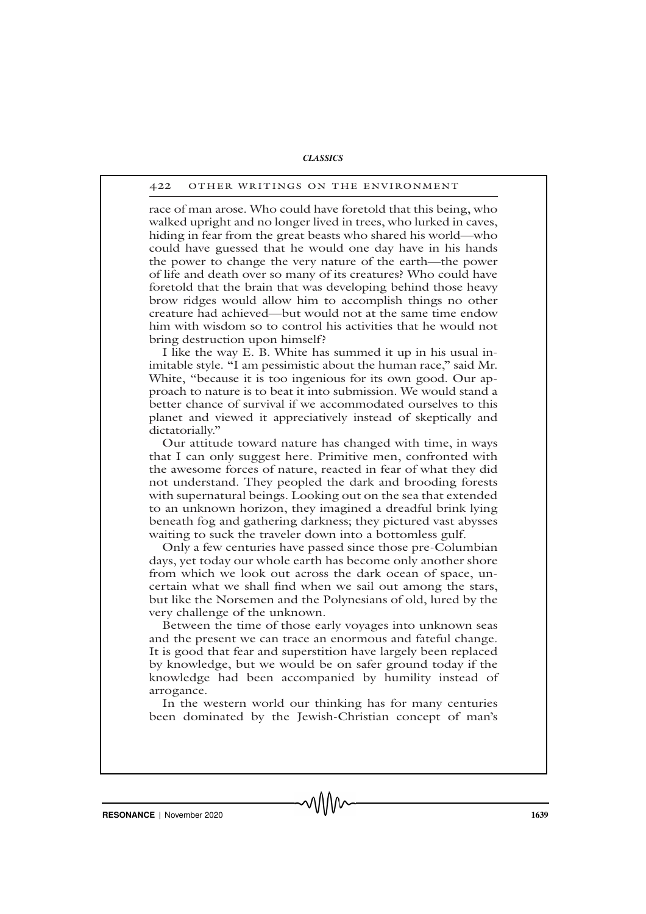#### 422 other writings on the environment

race of man arose. Who could have foretold that this being, who walked upright and no longer lived in trees, who lurked in caves, hiding in fear from the great beasts who shared his world—who could have guessed that he would one day have in his hands the power to change the very nature of the earth—the power of life and death over so many of its creatures? Who could have foretold that the brain that was developing behind those heavy brow ridges would allow him to accomplish things no other creature had achieved—but would not at the same time endow him with wisdom so to control his activities that he would not bring destruction upon himself?

I like the way E. B. White has summed it up in his usual inimitable style. "I am pessimistic about the human race," said Mr. White, "because it is too ingenious for its own good. Our approach to nature is to beat it into submission. We would stand a better chance of survival if we accommodated ourselves to this planet and viewed it appreciatively instead of skeptically and dictatorially."

Our attitude toward nature has changed with time, in ways that I can only suggest here. Primitive men, confronted with the awesome forces of nature, reacted in fear of what they did not understand. They peopled the dark and brooding forests with supernatural beings. Looking out on the sea that extended to an unknown horizon, they imagined a dreadful brink lying beneath fog and gathering darkness; they pictured vast abysses waiting to suck the traveler down into a bottomless gulf.

Only a few centuries have passed since those pre-Columbian days, yet today our whole earth has become only another shore from which we look out across the dark ocean of space, uncertain what we shall find when we sail out among the stars, but like the Norsemen and the Polynesians of old, lured by the very challenge of the unknown.

Between the time of those early voyages into unknown seas and the present we can trace an enormous and fateful change. It is good that fear and superstition have largely been replaced by knowledge, but we would be on safer ground today if the knowledge had been accompanied by humility instead of arrogance.

In the western world our thinking has for many centuries been dominated by the Jewish-Christian concept of man's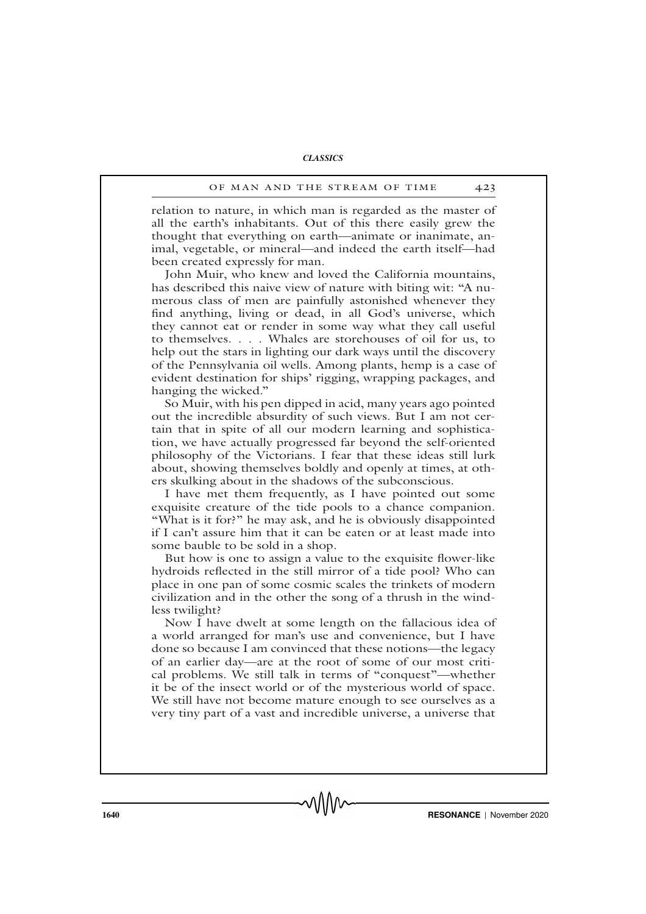|  |  | OF MAN AND THE STREAM OF TIME |  | 423 |
|--|--|-------------------------------|--|-----|
|  |  |                               |  |     |

relation to nature, in which man is regarded as the master of all the earth's inhabitants. Out of this there easily grew the thought that everything on earth—animate or inanimate, animal, vegetable, or mineral—and indeed the earth itself—had been created expressly for man.

John Muir, who knew and loved the California mountains, has described this naive view of nature with biting wit: "A numerous class of men are painfully astonished whenever they find anything, living or dead, in all God's universe, which they cannot eat or render in some way what they call useful to themselves. . . . Whales are storehouses of oil for us, to help out the stars in lighting our dark ways until the discovery of the Pennsylvania oil wells. Among plants, hemp is a case of evident destination for ships' rigging, wrapping packages, and hanging the wicked."

So Muir, with his pen dipped in acid, many years ago pointed out the incredible absurdity of such views. But I am not certain that in spite of all our modern learning and sophistication, we have actually progressed far beyond the self-oriented philosophy of the Victorians. I fear that these ideas still lurk about, showing themselves boldly and openly at times, at others skulking about in the shadows of the subconscious.

I have met them frequently, as I have pointed out some exquisite creature of the tide pools to a chance companion. "What is it for?" he may ask, and he is obviously disappointed if I can't assure him that it can be eaten or at least made into some bauble to be sold in a shop.

But how is one to assign a value to the exquisite flower-like hydroids reflected in the still mirror of a tide pool? Who can place in one pan of some cosmic scales the trinkets of modern civilization and in the other the song of a thrush in the windless twilight?

Now I have dwelt at some length on the fallacious idea of a world arranged for man's use and convenience, but I have done so because I am convinced that these notions—the legacy of an earlier day—are at the root of some of our most critical problems. We still talk in terms of "conquest"—whether it be of the insect world or of the mysterious world of space. We still have not become mature enough to see ourselves as a very tiny part of a vast and incredible universe, a universe that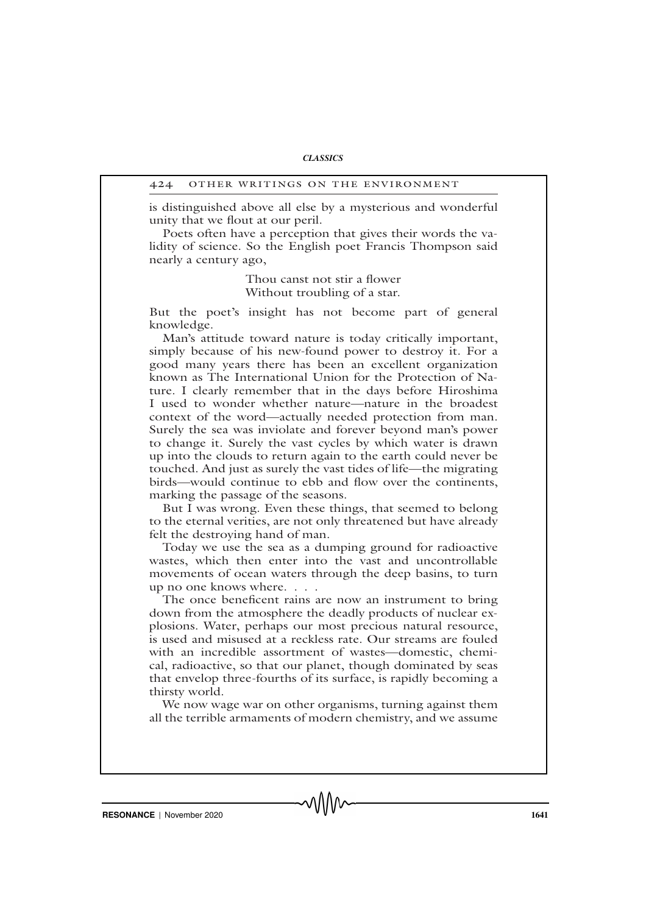## 424 other writings on the environment

is distinguished above all else by a mysterious and wonderful unity that we flout at our peril.

Poets often have a perception that gives their words the validity of science. So the English poet Francis Thompson said nearly a century ago,

> Thou canst not stir a flower Without troubling of a star.

But the poet's insight has not become part of general knowledge.

Man's attitude toward nature is today critically important, simply because of his new-found power to destroy it. For a good many years there has been an excellent organization known as The International Union for the Protection of Nature. I clearly remember that in the days before Hiroshima I used to wonder whether nature—nature in the broadest context of the word—actually needed protection from man. Surely the sea was inviolate and forever beyond man's power to change it. Surely the vast cycles by which water is drawn up into the clouds to return again to the earth could never be touched. And just as surely the vast tides of life—the migrating birds—would continue to ebb and flow over the continents, marking the passage of the seasons.

But I was wrong. Even these things, that seemed to belong to the eternal verities, are not only threatened but have already felt the destroying hand of man.

Today we use the sea as a dumping ground for radioactive wastes, which then enter into the vast and uncontrollable movements of ocean waters through the deep basins, to turn up no one knows where. . . .

The once beneficent rains are now an instrument to bring down from the atmosphere the deadly products of nuclear explosions. Water, perhaps our most precious natural resource, is used and misused at a reckless rate. Our streams are fouled with an incredible assortment of wastes—domestic, chemical, radioactive, so that our planet, though dominated by seas that envelop three-fourths of its surface, is rapidly becoming a thirsty world.

We now wage war on other organisms, turning against them all the terrible armaments of modern chemistry, and we assume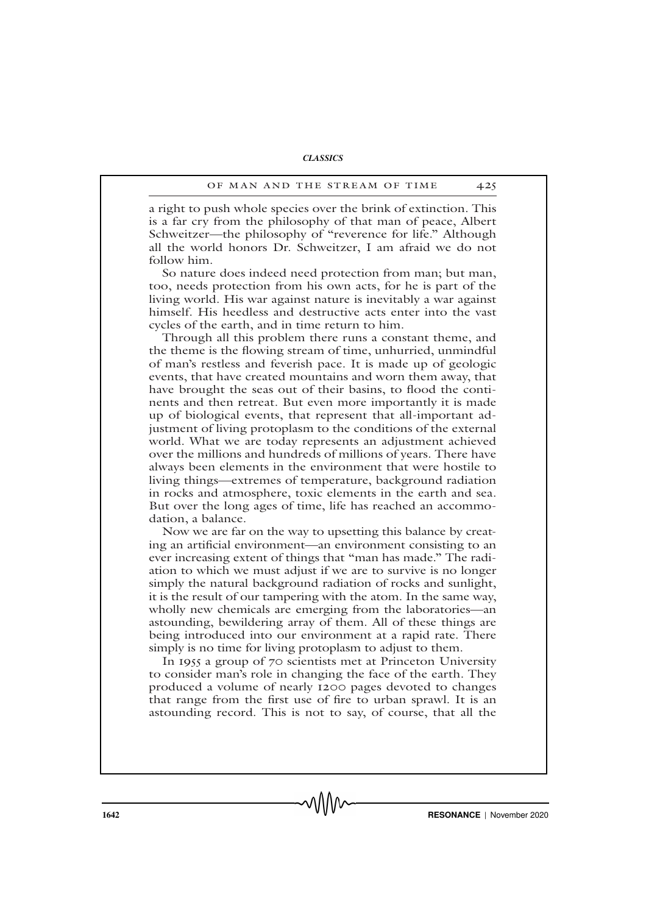|  | <b>CLASSICS</b> |
|--|-----------------|
|--|-----------------|

|  |  | OF MAN AND THE STREAM OF TIME |  | 425 |
|--|--|-------------------------------|--|-----|
|  |  |                               |  |     |

a right to push whole species over the brink of extinction. This is a far cry from the philosophy of that man of peace, Albert Schweitzer—the philosophy of "reverence for life." Although all the world honors Dr. Schweitzer, I am afraid we do not follow him.

So nature does indeed need protection from man; but man, too, needs protection from his own acts, for he is part of the living world. His war against nature is inevitably a war against himself. His heedless and destructive acts enter into the vast cycles of the earth, and in time return to him.

Through all this problem there runs a constant theme, and the theme is the flowing stream of time, unhurried, unmindful of man's restless and feverish pace. It is made up of geologic events, that have created mountains and worn them away, that have brought the seas out of their basins, to flood the continents and then retreat. But even more importantly it is made up of biological events, that represent that all-important adjustment of living protoplasm to the conditions of the external world. What we are today represents an adjustment achieved over the millions and hundreds of millions of years. There have always been elements in the environment that were hostile to living things—extremes of temperature, background radiation in rocks and atmosphere, toxic elements in the earth and sea. But over the long ages of time, life has reached an accommodation, a balance.

Now we are far on the way to upsetting this balance by creating an artificial environment—an environment consisting to an ever increasing extent of things that "man has made." The radiation to which we must adjust if we are to survive is no longer simply the natural background radiation of rocks and sunlight, it is the result of our tampering with the atom. In the same way, wholly new chemicals are emerging from the laboratories—an astounding, bewildering array of them. All of these things are being introduced into our environment at a rapid rate. There simply is no time for living protoplasm to adjust to them.

In 1955 a group of 70 scientists met at Princeton University to consider man's role in changing the face of the earth. They produced a volume of nearly 1200 pages devoted to changes that range from the first use of fire to urban sprawl. It is an astounding record. This is not to say, of course, that all the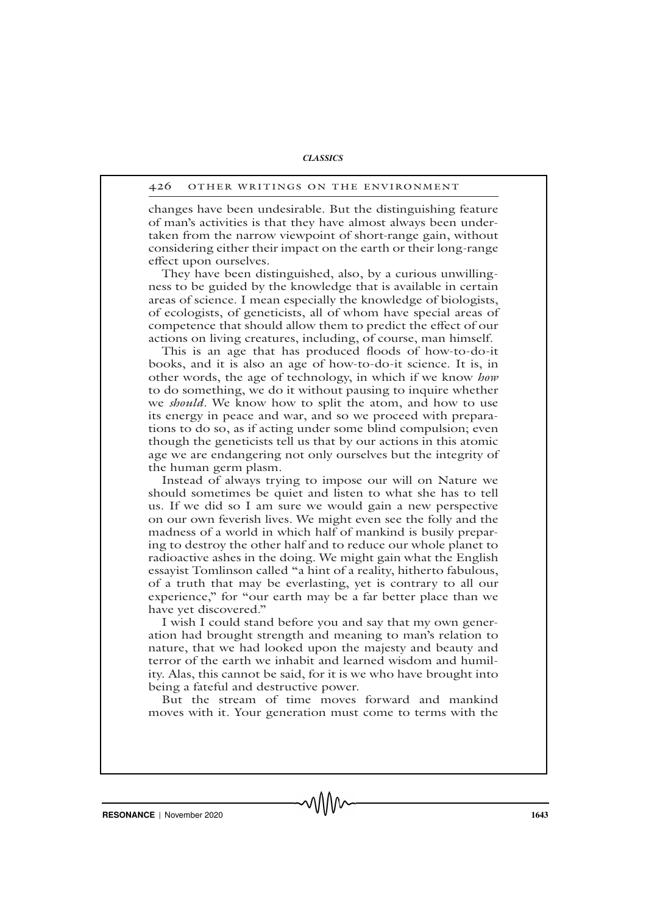#### 426 other writings on the environment

changes have been undesirable. But the distinguishing feature of man's activities is that they have almost always been undertaken from the narrow viewpoint of short-range gain, without considering either their impact on the earth or their long-range effect upon ourselves.

They have been distinguished, also, by a curious unwillingness to be guided by the knowledge that is available in certain areas of science. I mean especially the knowledge of biologists, of ecologists, of geneticists, all of whom have special areas of competence that should allow them to predict the effect of our actions on living creatures, including, of course, man himself.

This is an age that has produced floods of how-to-do-it books, and it is also an age of how-to-do-it science. It is, in other words, the age of technology, in which if we know *how* to do something, we do it without pausing to inquire whether we *should*. We know how to split the atom, and how to use its energy in peace and war, and so we proceed with preparations to do so, as if acting under some blind compulsion; even though the geneticists tell us that by our actions in this atomic age we are endangering not only ourselves but the integrity of the human germ plasm.

Instead of always trying to impose our will on Nature we should sometimes be quiet and listen to what she has to tell us. If we did so I am sure we would gain a new perspective on our own feverish lives. We might even see the folly and the madness of a world in which half of mankind is busily preparing to destroy the other half and to reduce our whole planet to radioactive ashes in the doing. We might gain what the English essayist Tomlinson called "a hint of a reality, hitherto fabulous, of a truth that may be everlasting, yet is contrary to all our experience," for "our earth may be a far better place than we have yet discovered."

I wish I could stand before you and say that my own generation had brought strength and meaning to man's relation to nature, that we had looked upon the majesty and beauty and terror of the earth we inhabit and learned wisdom and humility. Alas, this cannot be said, for it is we who have brought into being a fateful and destructive power.

But the stream of time moves forward and mankind moves with it. Your generation must come to terms with the